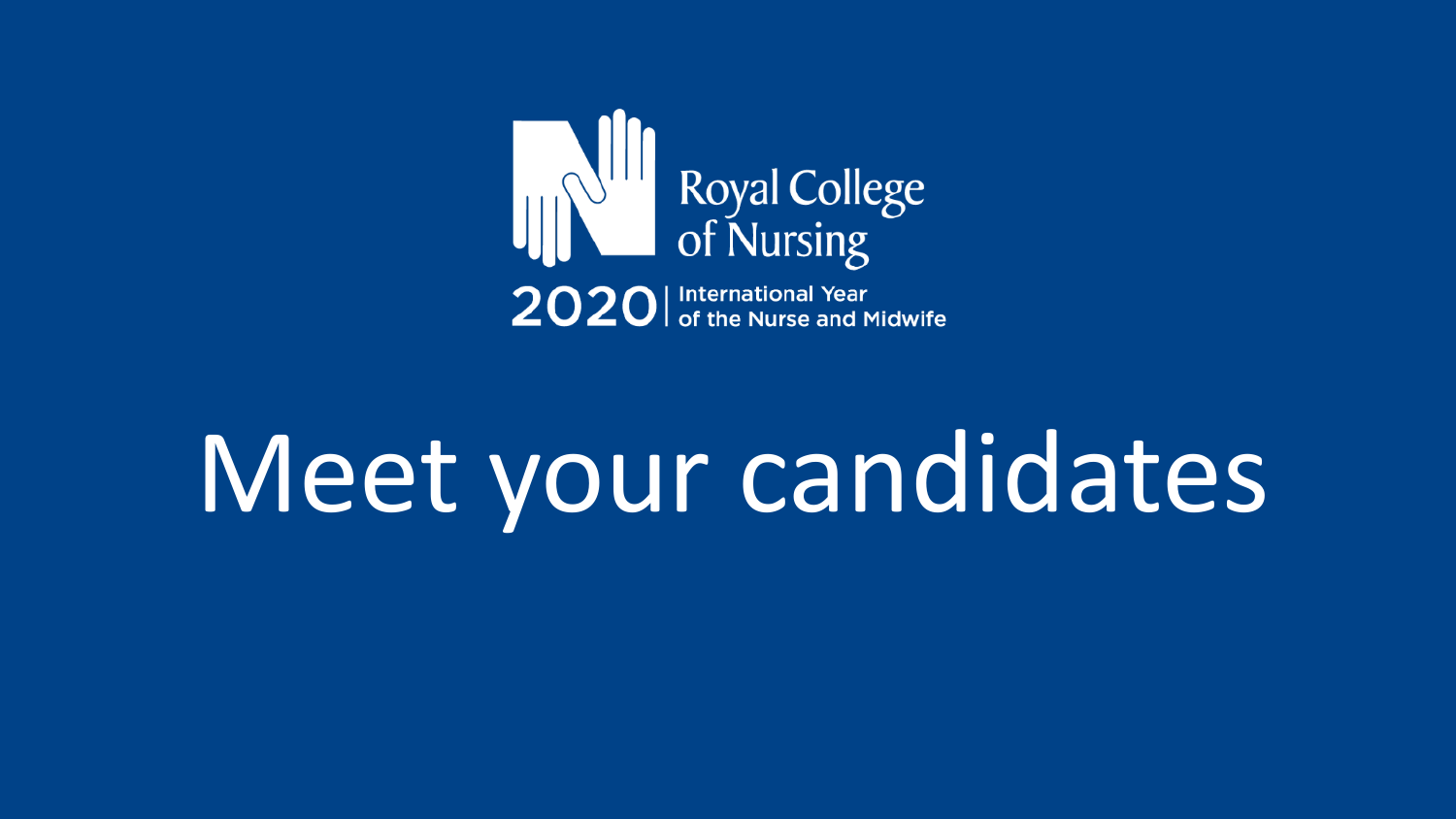

# Meet your candidates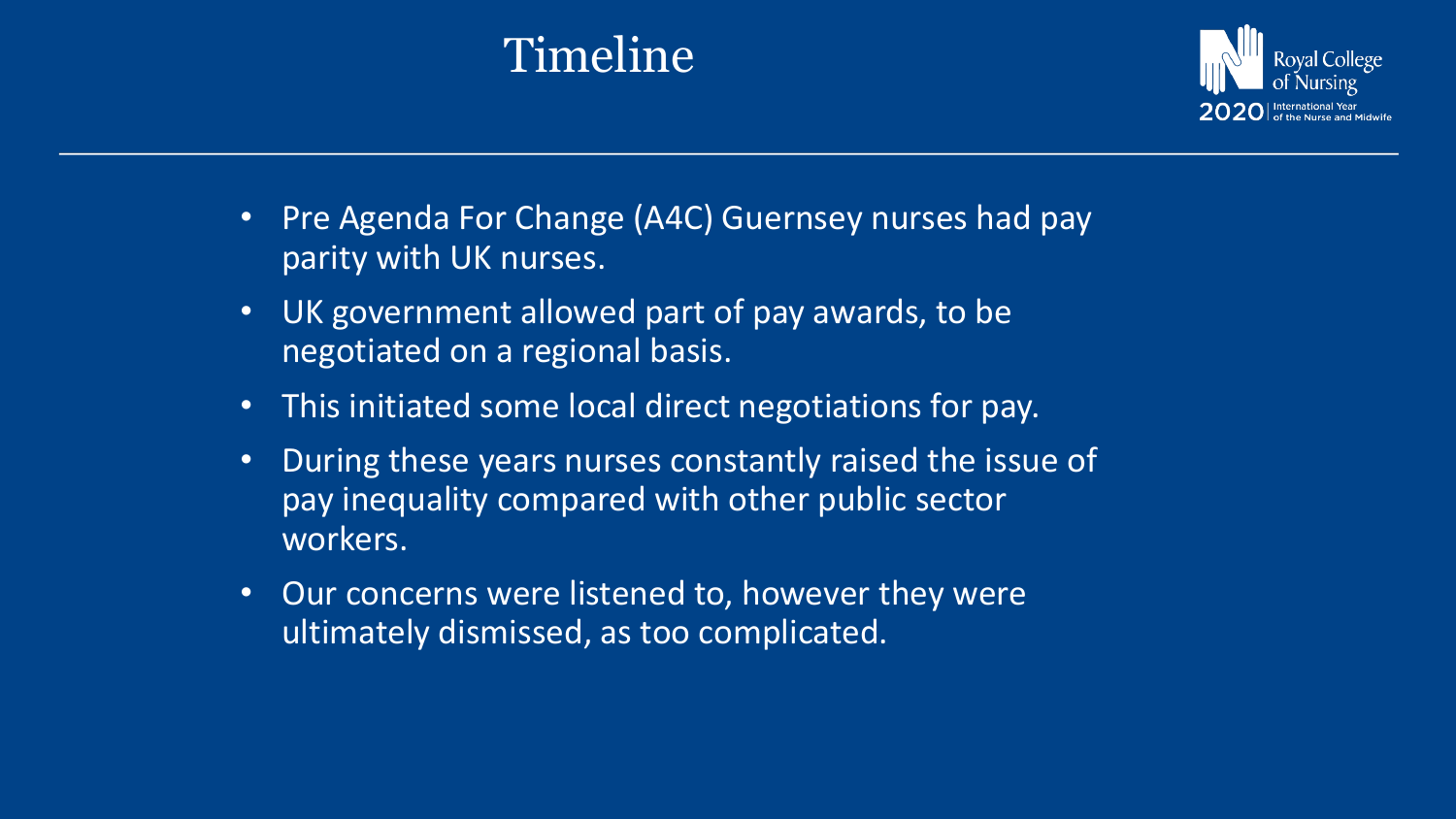## Timeline



- Pre Agenda For Change (A4C) Guernsey nurses had pay parity with UK nurses.
- UK government allowed part of pay awards, to be negotiated on a regional basis.
- This initiated some local direct negotiations for pay.
- During these years nurses constantly raised the issue of pay inequality compared with other public sector workers.
- Our concerns were listened to, however they were ultimately dismissed, as too complicated.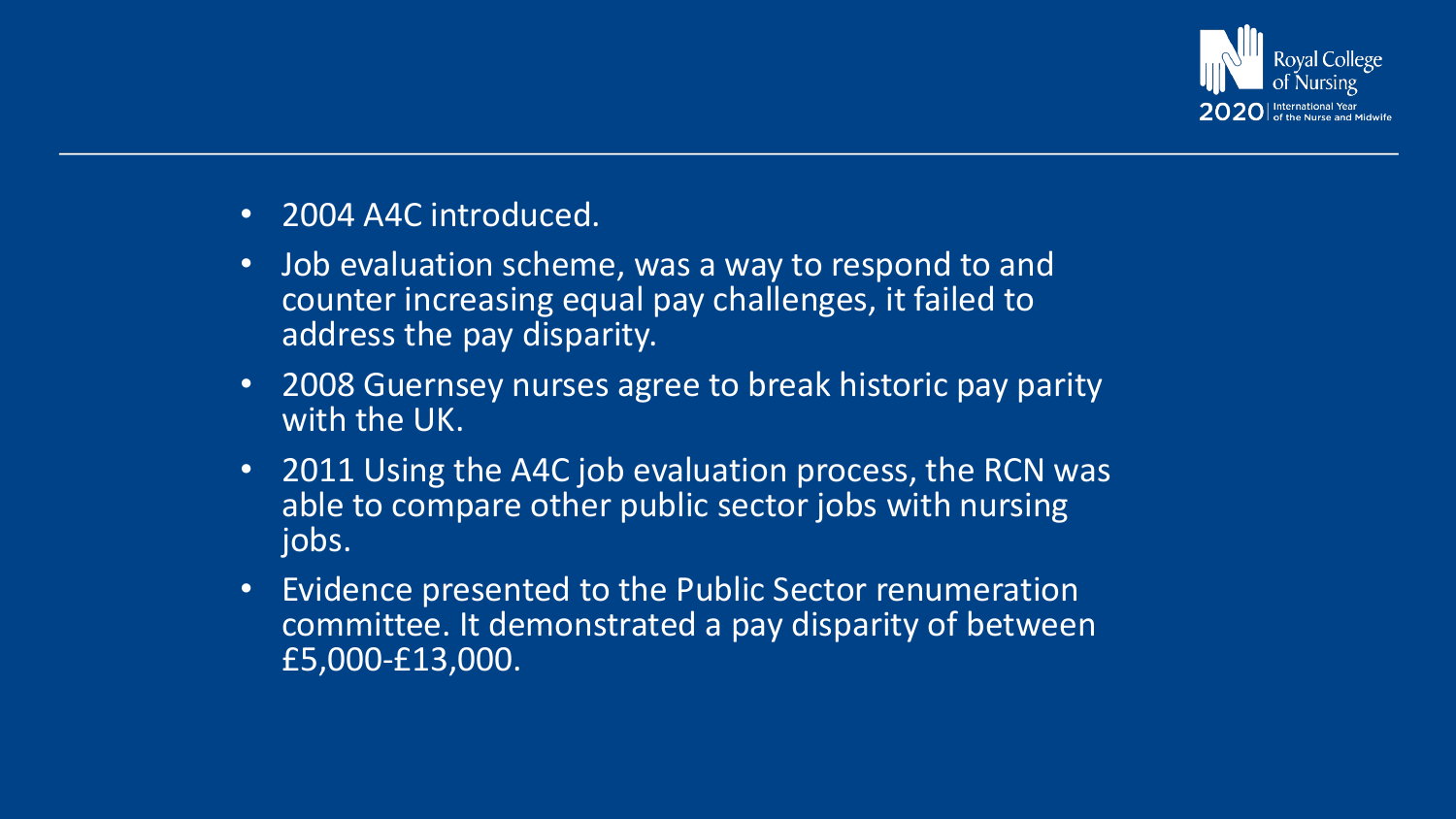

- 2004 A4C introduced.
- Job evaluation scheme, was a way to respond to and counter increasing equal pay challenges, it failed to address the pay disparity.
- 2008 Guernsey nurses agree to break historic pay parity with the UK.
- 2011 Using the A4C job evaluation process, the RCN was able to compare other public sector jobs with nursing jobs.
- Evidence presented to the Public Sector renumeration committee. It demonstrated a pay disparity of between £5,000-£13,000.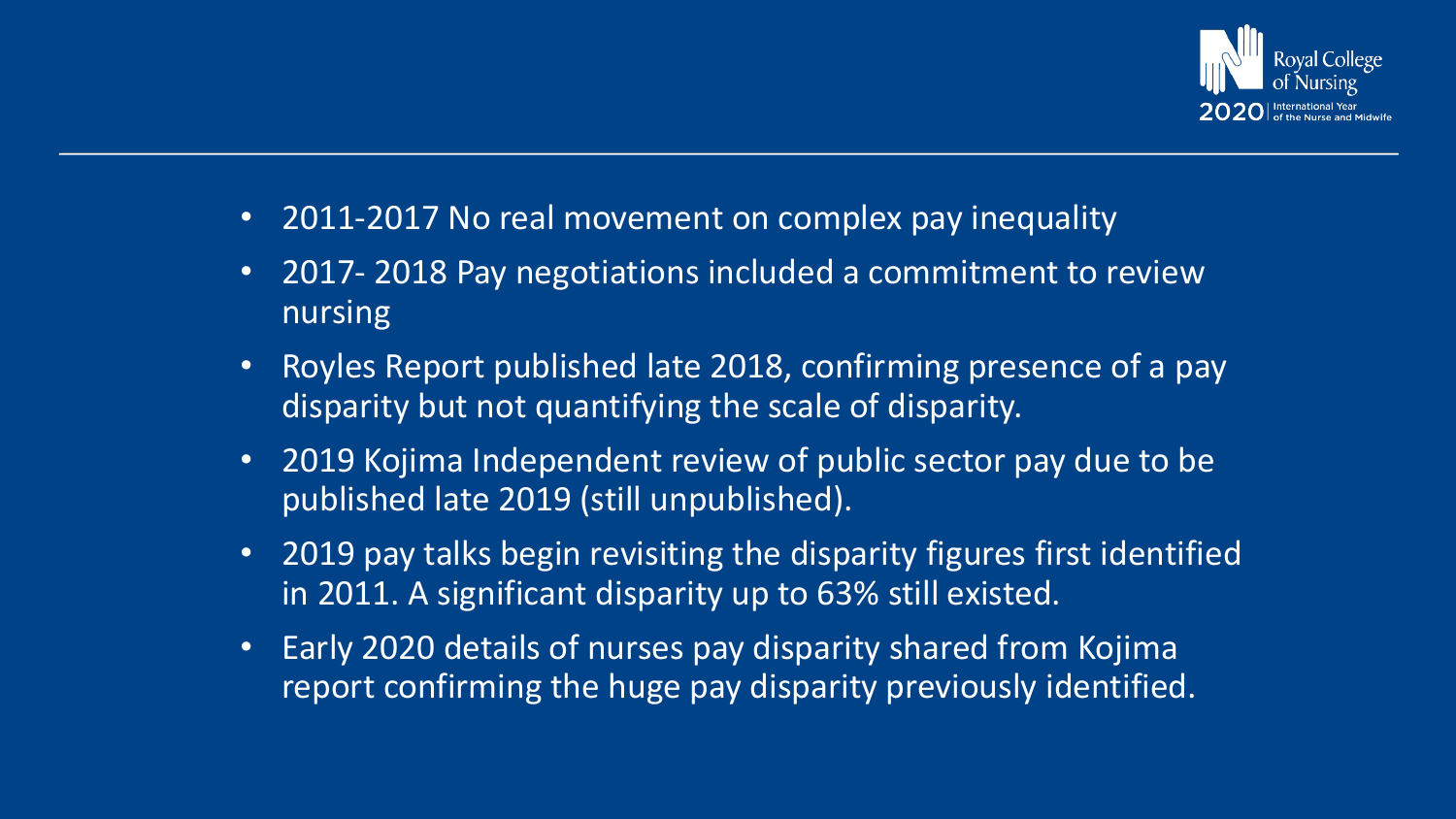

- 2011-2017 No real movement on complex pay inequality
- 2017- 2018 Pay negotiations included a commitment to review nursing
- Royles Report published late 2018, confirming presence of a pay disparity but not quantifying the scale of disparity.
- 2019 Kojima Independent review of public sector pay due to be published late 2019 (still unpublished).
- 2019 pay talks begin revisiting the disparity figures first identified in 2011. A significant disparity up to 63% still existed.
- Early 2020 details of nurses pay disparity shared from Kojima report confirming the huge pay disparity previously identified.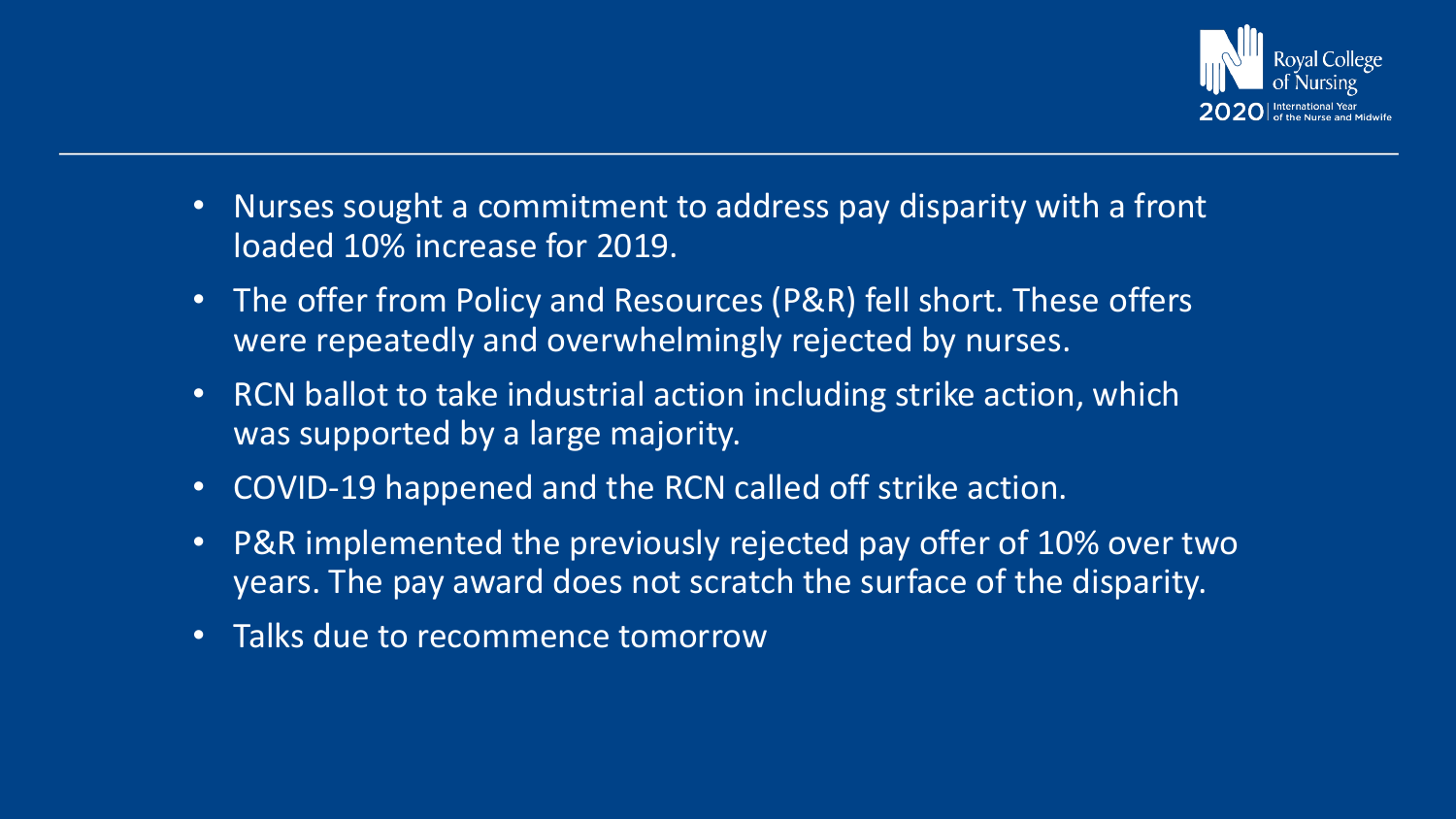

- Nurses sought a commitment to address pay disparity with a front loaded 10% increase for 2019.
- The offer from Policy and Resources (P&R) fell short. These offers were repeatedly and overwhelmingly rejected by nurses.
- RCN ballot to take industrial action including strike action, which was supported by a large majority.
- COVID-19 happened and the RCN called off strike action.
- P&R implemented the previously rejected pay offer of 10% over two years. The pay award does not scratch the surface of the disparity.
- Talks due to recommence tomorrow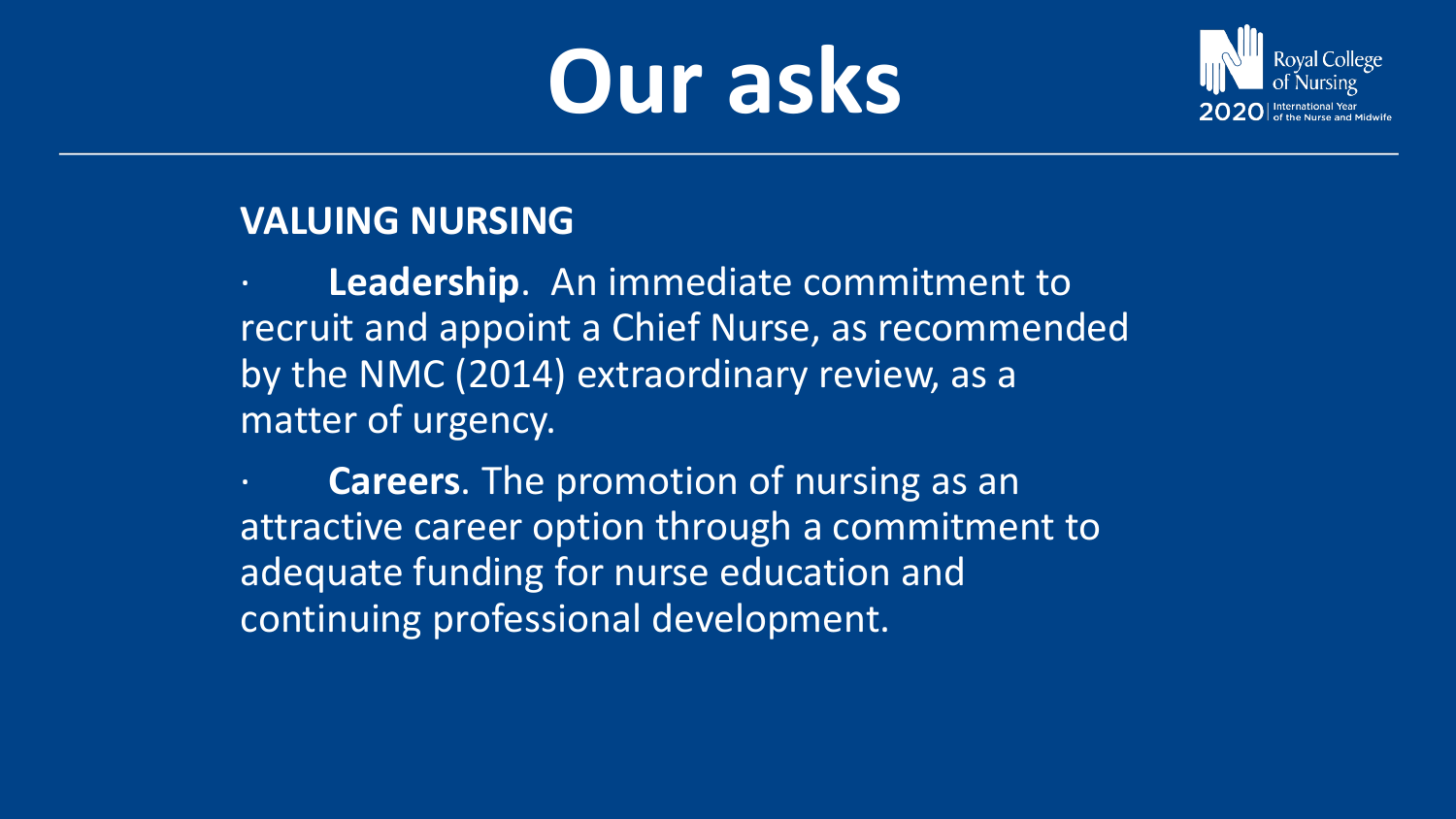## **Our asks**



#### **VALUING NURSING**

Leadership. An immediate commitment to recruit and appoint a Chief Nurse, as recommended by the NMC (2014) extraordinary review, as a matter of urgency.

**Careers.** The promotion of nursing as an attractive career option through a commitment to adequate funding for nurse education and continuing professional development.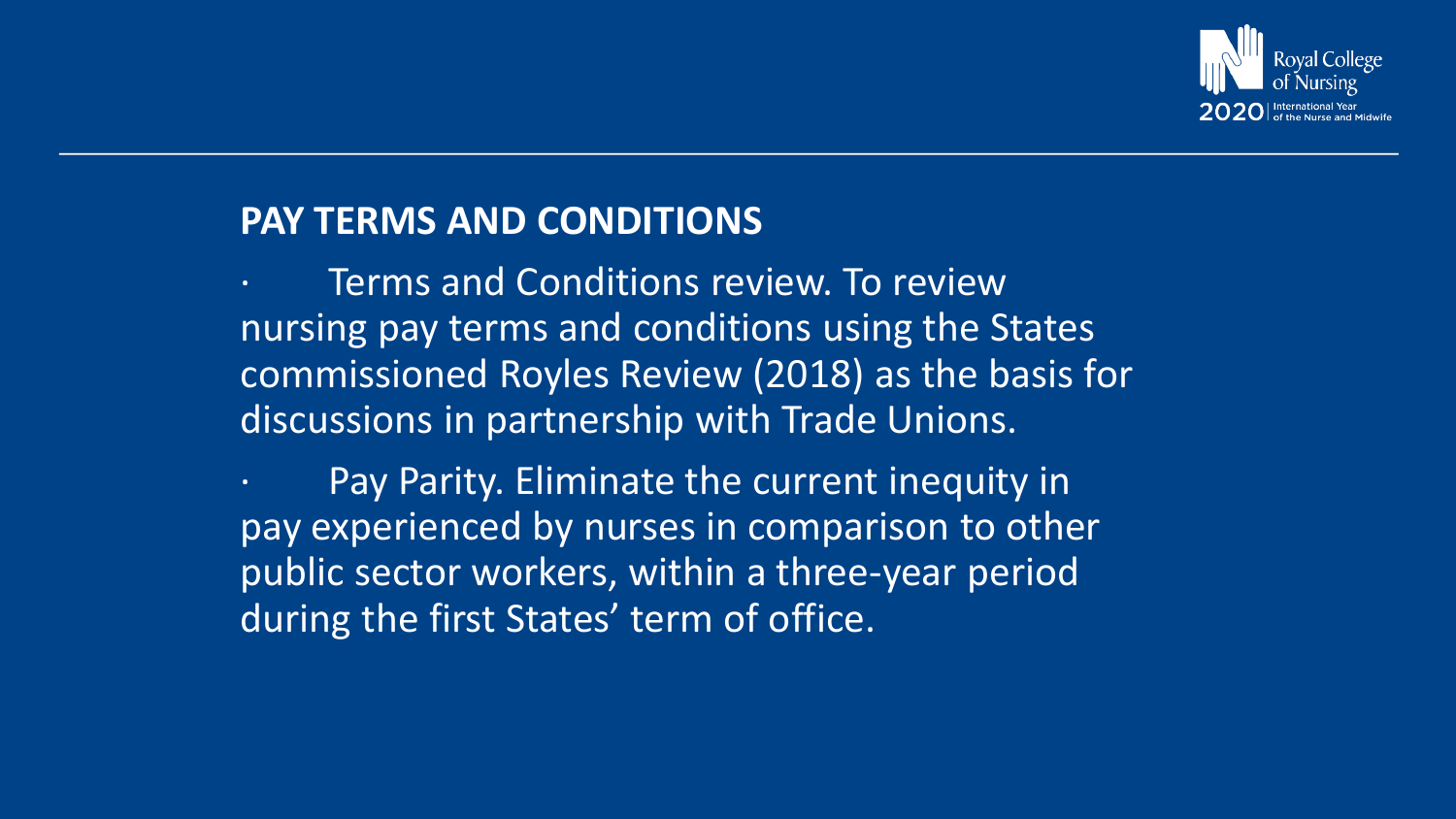

#### **PAY TERMS AND CONDITIONS**

Terms and Conditions review. To review nursing pay terms and conditions using the States commissioned Royles Review (2018) as the basis for discussions in partnership with Trade Unions.

Pay Parity. Eliminate the current inequity in pay experienced by nurses in comparison to other public sector workers, within a three-year period during the first States' term of office.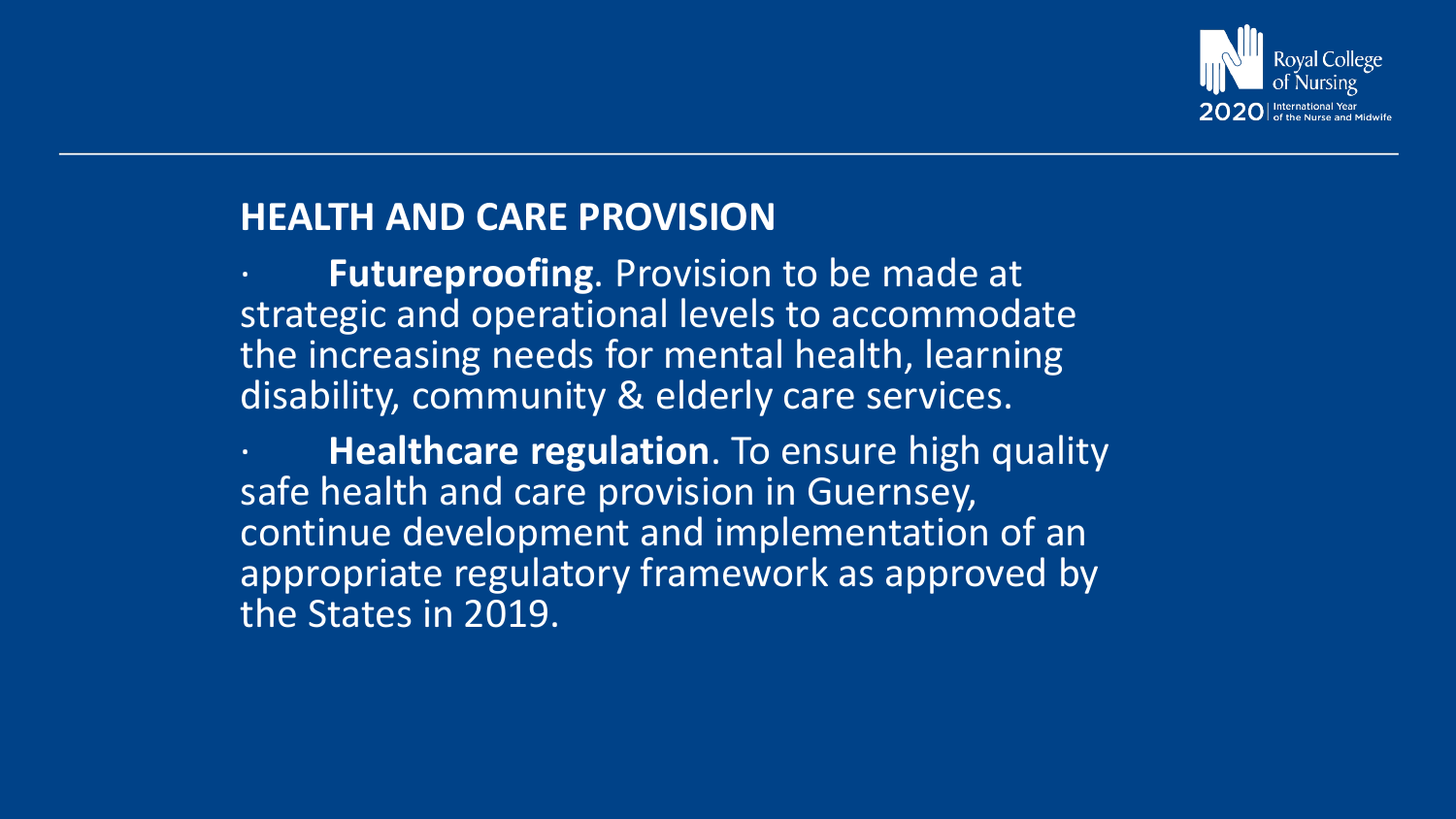

### **HEALTH AND CARE PROVISION**

**Futureproofing.** Provision to be made at strategic and operational levels to accommodate the increasing needs for mental health, learning disability, community & elderly care services.

**Healthcare regulation.** To ensure high quality safe health and care provision in Guernsey, continue development and implementation of an appropriate regulatory framework as approved by the States in 2019.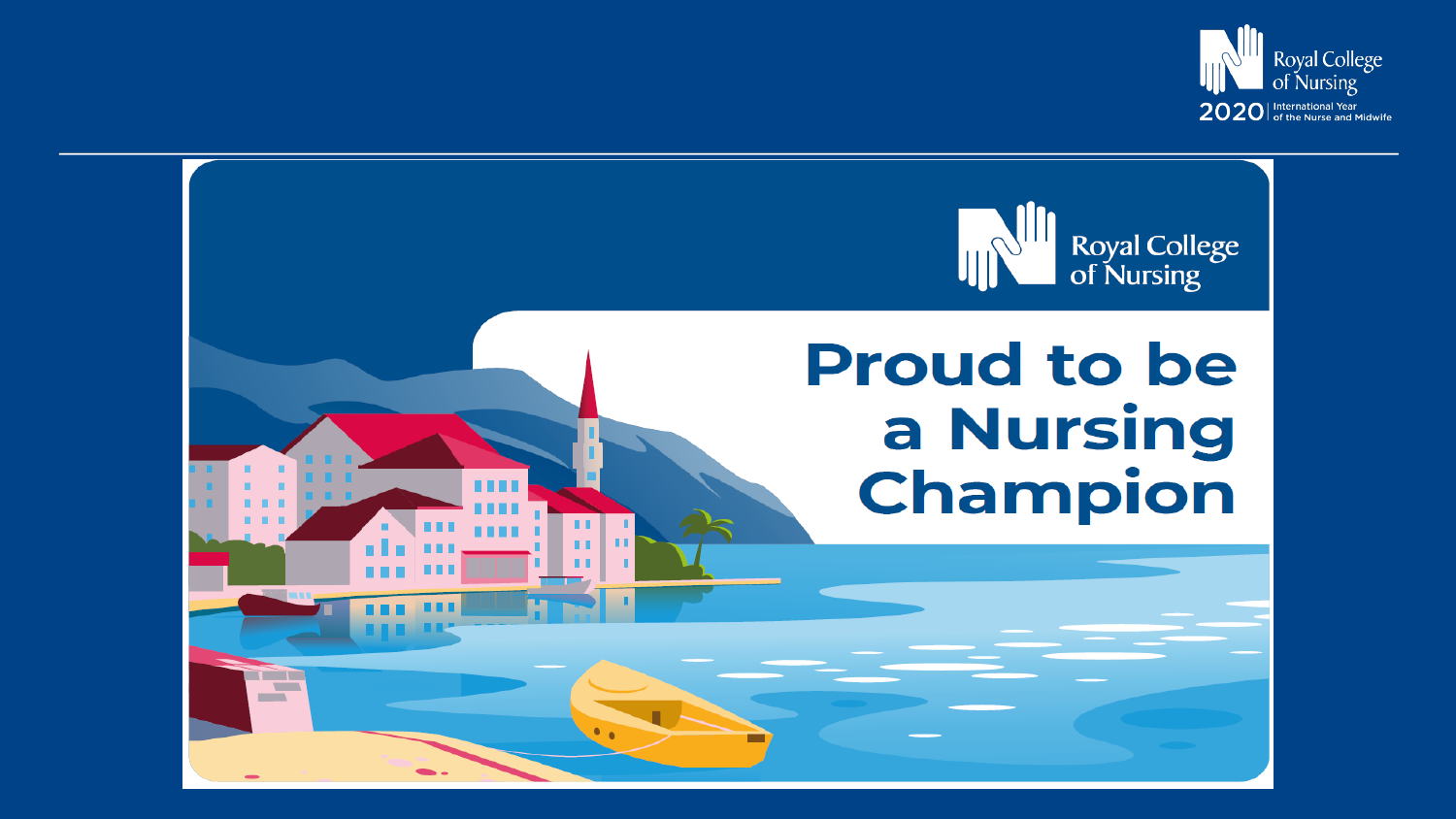